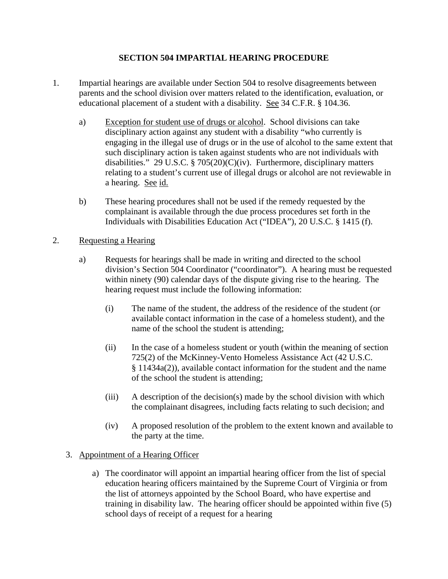# **SECTION 504 IMPARTIAL HEARING PROCEDURE**

- 1. Impartial hearings are available under Section 504 to resolve disagreements between parents and the school division over matters related to the identification, evaluation, or educational placement of a student with a disability. See 34 C.F.R. § 104.36.
	- a) Exception for student use of drugs or alcohol. School divisions can take disciplinary action against any student with a disability "who currently is engaging in the illegal use of drugs or in the use of alcohol to the same extent that such disciplinary action is taken against students who are not individuals with disabilities." 29 U.S.C. § 705(20)(C)(iv). Furthermore, disciplinary matters relating to a student's current use of illegal drugs or alcohol are not reviewable in a hearing. See id.
	- b) These hearing procedures shall not be used if the remedy requested by the complainant is available through the due process procedures set forth in the Individuals with Disabilities Education Act ("IDEA"), 20 U.S.C. § 1415 (f).

### 2. Requesting a Hearing

- a) Requests for hearings shall be made in writing and directed to the school division's Section 504 Coordinator ("coordinator"). A hearing must be requested within ninety (90) calendar days of the dispute giving rise to the hearing. The hearing request must include the following information:
	- (i) The name of the student, the address of the residence of the student (or available contact information in the case of a homeless student), and the name of the school the student is attending;
	- (ii) In the case of a homeless student or youth (within the meaning of section 725(2) of the McKinney-Vento Homeless Assistance Act (42 U.S.C. § 11434a(2)), available contact information for the student and the name of the school the student is attending;
	- (iii) A description of the decision(s) made by the school division with which the complainant disagrees, including facts relating to such decision; and
	- (iv) A proposed resolution of the problem to the extent known and available to the party at the time.

#### 3. Appointment of a Hearing Officer

a) The coordinator will appoint an impartial hearing officer from the list of special education hearing officers maintained by the Supreme Court of Virginia or from the list of attorneys appointed by the School Board, who have expertise and training in disability law. The hearing officer should be appointed within five (5) school days of receipt of a request for a hearing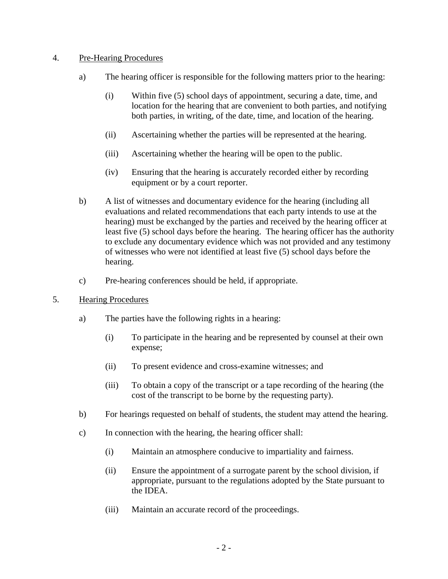# 4. Pre-Hearing Procedures

- a) The hearing officer is responsible for the following matters prior to the hearing:
	- (i) Within five (5) school days of appointment, securing a date, time, and location for the hearing that are convenient to both parties, and notifying both parties, in writing, of the date, time, and location of the hearing.
	- (ii) Ascertaining whether the parties will be represented at the hearing.
	- (iii) Ascertaining whether the hearing will be open to the public.
	- (iv) Ensuring that the hearing is accurately recorded either by recording equipment or by a court reporter.
- b) A list of witnesses and documentary evidence for the hearing (including all evaluations and related recommendations that each party intends to use at the hearing) must be exchanged by the parties and received by the hearing officer at least five (5) school days before the hearing. The hearing officer has the authority to exclude any documentary evidence which was not provided and any testimony of witnesses who were not identified at least five (5) school days before the hearing.
- c) Pre-hearing conferences should be held, if appropriate.
- 5. Hearing Procedures
	- a) The parties have the following rights in a hearing:
		- (i) To participate in the hearing and be represented by counsel at their own expense;
		- (ii) To present evidence and cross-examine witnesses; and
		- (iii) To obtain a copy of the transcript or a tape recording of the hearing (the cost of the transcript to be borne by the requesting party).
	- b) For hearings requested on behalf of students, the student may attend the hearing.
	- c) In connection with the hearing, the hearing officer shall:
		- (i) Maintain an atmosphere conducive to impartiality and fairness.
		- (ii) Ensure the appointment of a surrogate parent by the school division, if appropriate, pursuant to the regulations adopted by the State pursuant to the IDEA.
		- (iii) Maintain an accurate record of the proceedings.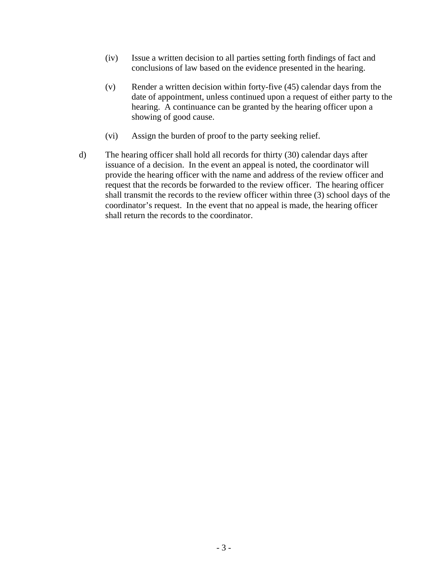- (iv) Issue a written decision to all parties setting forth findings of fact and conclusions of law based on the evidence presented in the hearing.
- (v) Render a written decision within forty-five (45) calendar days from the date of appointment, unless continued upon a request of either party to the hearing. A continuance can be granted by the hearing officer upon a showing of good cause.
- (vi) Assign the burden of proof to the party seeking relief.
- d) The hearing officer shall hold all records for thirty (30) calendar days after issuance of a decision. In the event an appeal is noted, the coordinator will provide the hearing officer with the name and address of the review officer and request that the records be forwarded to the review officer. The hearing officer shall transmit the records to the review officer within three (3) school days of the coordinator's request. In the event that no appeal is made, the hearing officer shall return the records to the coordinator.